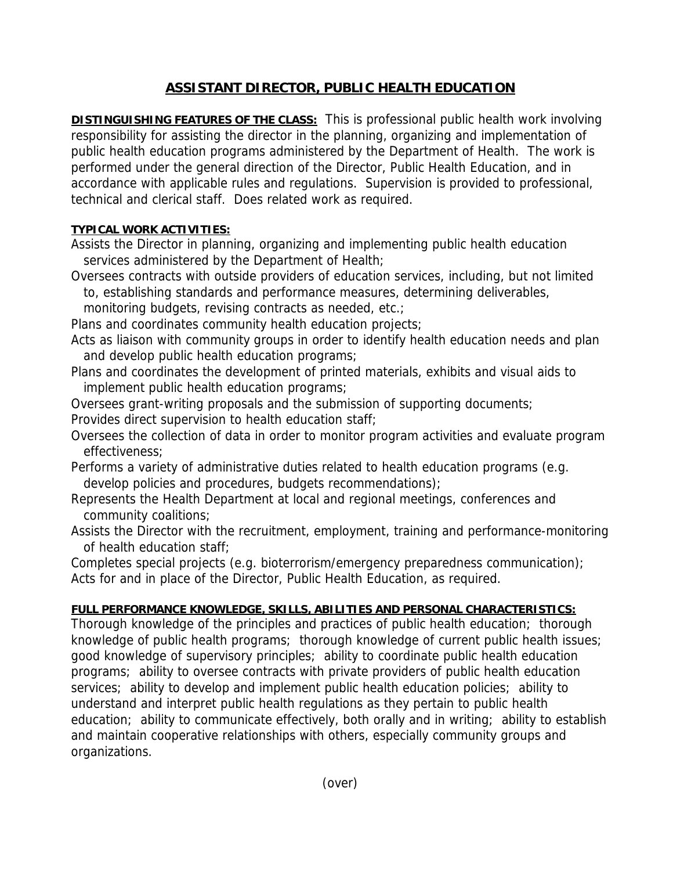## **ASSISTANT DIRECTOR, PUBLIC HEALTH EDUCATION**

**DISTINGUISHING FEATURES OF THE CLASS:** This is professional public health work involving responsibility for assisting the director in the planning, organizing and implementation of public health education programs administered by the Department of Health. The work is performed under the general direction of the Director, Public Health Education, and in accordance with applicable rules and regulations. Supervision is provided to professional, technical and clerical staff. Does related work as required.

## **TYPICAL WORK ACTIVITIES:**

- Assists the Director in planning, organizing and implementing public health education services administered by the Department of Health;
- Oversees contracts with outside providers of education services, including, but not limited to, establishing standards and performance measures, determining deliverables,

monitoring budgets, revising contracts as needed, etc.;

- Plans and coordinates community health education projects;
- Acts as liaison with community groups in order to identify health education needs and plan and develop public health education programs;
- Plans and coordinates the development of printed materials, exhibits and visual aids to implement public health education programs;
- Oversees grant-writing proposals and the submission of supporting documents;
- Provides direct supervision to health education staff;
- Oversees the collection of data in order to monitor program activities and evaluate program effectiveness;
- Performs a variety of administrative duties related to health education programs (e.g. develop policies and procedures, budgets recommendations);
- Represents the Health Department at local and regional meetings, conferences and community coalitions;
- Assists the Director with the recruitment, employment, training and performance-monitoring of health education staff;

Completes special projects (e.g. bioterrorism/emergency preparedness communication); Acts for and in place of the Director, Public Health Education, as required.

## **FULL PERFORMANCE KNOWLEDGE, SKILLS, ABILITIES AND PERSONAL CHARACTERISTICS:**

Thorough knowledge of the principles and practices of public health education; thorough knowledge of public health programs; thorough knowledge of current public health issues; good knowledge of supervisory principles; ability to coordinate public health education programs; ability to oversee contracts with private providers of public health education services; ability to develop and implement public health education policies; ability to understand and interpret public health regulations as they pertain to public health education; ability to communicate effectively, both orally and in writing; ability to establish and maintain cooperative relationships with others, especially community groups and organizations.